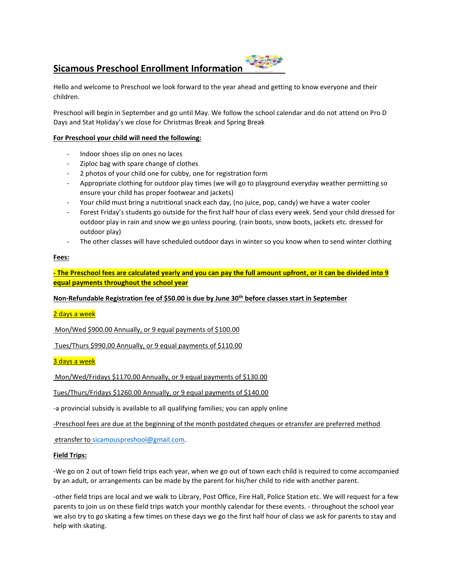# **Sicamous Preschool Enrollment Information**



Hello and welcome to Preschool we look forward to the year ahead and getting to know everyone and their children.

Preschool will begin in September and go until May. We follow the school calendar and do not attend on Pro D Days and Stat Holiday's we close for Christmas Break and Spring Break

# **For Preschool your child will need the following:**

- Indoor shoes slip on ones no laces
- Ziploc bag with spare change of clothes
- 2 photos of your child one for cubby, one for registration form
- Appropriate clothing for outdoor play times (we will go to playground everyday weather permitting so ensure your child has proper footwear and jackets)
- Your child must bring a nutritional snack each day, (no juice, pop, candy) we have a water cooler
- Forest Friday's students go outside for the first half hour of class every week. Send your child dressed for outdoor play in rain and snow we go unless pouring. (rain boots, snow boots, jackets etc. dressed for outdoor play)
- The other classes will have scheduled outdoor days in winter so you know when to send winter clothing

# **Fees:**

**- The Preschool fees are calculated yearly and you can pay the full amount upfront, or it can be divided into 9 equal payments throughout the school year**

**Non-Refundable Registration fee of \$50.00 is due by June 30th before classes start in September**

2 days a week

Mon/Wed \$900.00 Annually, or 9 equal payments of \$100.00

Tues/Thurs \$990.00 Annually, or 9 equal payments of \$110.00

3 days a week

Mon/Wed/Fridays \$1170.00 Annually, or 9 equal payments of \$130.00

Tues/Thurs/Fridays \$1260.00 Annually, or 9 equal payments of \$140.00

-a provincial subsidy is available to all qualifying families; you can apply online

-Preschool fees are due at the beginning of the month postdated cheques or etransfer are preferred method

etransfer t[o sicamouspreshool@gmail.com.](mailto:sicamouspreshool@gmail.com)

# **Field Trips:**

-We go on 2 out of town field trips each year, when we go out of town each child is required to come accompanied by an adult, or arrangements can be made by the parent for his/her child to ride with another parent.

-other field trips are local and we walk to Library, Post Office, Fire Hall, Police Station etc. We will request for a few parents to join us on these field trips watch your monthly calendar for these events. - throughout the school year we also try to go skating a few times on these days we go the first half hour of class we ask for parents to stay and help with skating.